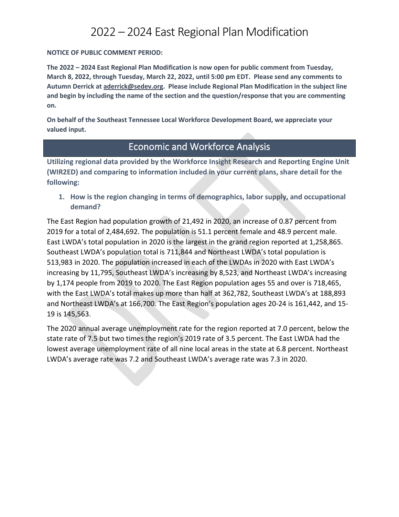**NOTICE OF PUBLIC COMMENT PERIOD:**

**The 2022 – 2024 East Regional Plan Modification is now open for public comment from Tuesday, March 8, 2022, through Tuesday, March 22, 2022, until 5:00 pm EDT. Please send any comments to Autumn Derrick a[t aderrick@sedev.org.](mailto:aderrick@sedev.org) Please include Regional Plan Modification in the subject line and begin by including the name of the section and the question/response that you are commenting on.** 

**On behalf of the Southeast Tennessee Local Workforce Development Board, we appreciate your valued input.**

## Economic and Workforce Analysis

**Utilizing regional data provided by the Workforce Insight Research and Reporting Engine Unit (WIR2ED) and comparing to information included in your current plans, share detail for the following:**

**1. How is the region changing in terms of demographics, labor supply, and occupational demand?**

The East Region had population growth of 21,492 in 2020, an increase of 0.87 percent from 2019 for a total of 2,484,692. The population is 51.1 percent female and 48.9 percent male. East LWDA's total population in 2020 is the largest in the grand region reported at 1,258,865. Southeast LWDA's population total is 711,844 and Northeast LWDA's total population is 513,983 in 2020. The population increased in each of the LWDAs in 2020 with East LWDA's increasing by 11,795, Southeast LWDA's increasing by 8,523, and Northeast LWDA's increasing by 1,174 people from 2019 to 2020. The East Region population ages 55 and over is 718,465, with the East LWDA's total makes up more than half at 362,782, Southeast LWDA's at 188,893 and Northeast LWDA's at 166,700. The East Region's population ages 20-24 is 161,442, and 15- 19 is 145,563.

The 2020 annual average unemployment rate for the region reported at 7.0 percent, below the state rate of 7.5 but two times the region's 2019 rate of 3.5 percent. The East LWDA had the lowest average unemployment rate of all nine local areas in the state at 6.8 percent. Northeast LWDA's average rate was 7.2 and Southeast LWDA's average rate was 7.3 in 2020.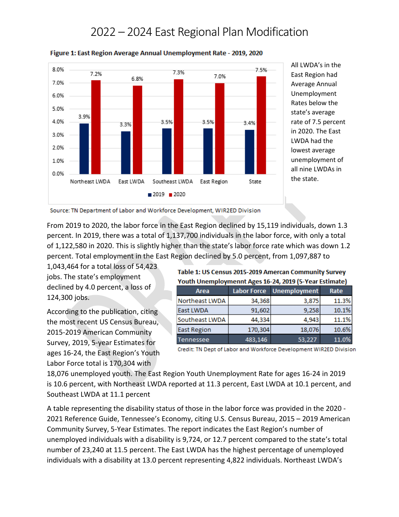

All LWDA's in the East Region had Average Annual Unemployment Rates below the state's average rate of 7.5 percent in 2020. The East LWDA had the lowest average unemployment of all nine LWDAs in the state.



Source: TN Department of Labor and Workforce Development, WIR2ED Division

From 2019 to 2020, the labor force in the East Region declined by 15,119 individuals, down 1.3 percent. In 2019, there was a total of 1,137,700 individuals in the labor force, with only a total of 1,122,580 in 2020. This is slightly higher than the state's labor force rate which was down 1.2 percent. Total employment in the East Region declined by 5.0 percent, from 1,097,887 to

1,043,464 for a total loss of 54,423 jobs. The state's employment declined by 4.0 percent, a loss of 124,300 jobs.

According to the publication, citing the most recent US Census Bureau, 2015-2019 American Community Survey, 2019, 5-year Estimates for ages 16-24, the East Region's Youth Labor Force total is 170,304 with

### Table 1: US Census 2015-2019 Amercan Community Survey Youth Unemploymennt Ages 16-24, 2019 (5-Year Estimate)

| Area               |         | Labor Force Unemployment | Rate  |
|--------------------|---------|--------------------------|-------|
| Northeast LWDA     | 34,368  | 3,875                    | 11.3% |
| <b>East LWDA</b>   | 91,602  | 9,258                    | 10.1% |
| Southeast LWDA     | 44,334  | 4,943                    | 11.1% |
| <b>East Region</b> | 170,304 | 18,076                   | 10.6% |
| Tennessee          | 483,146 | 53,227                   | 11.0% |

Credit: TN Dept of Labor and Workforce Development WIR2ED Division

18,076 unemployed youth. The East Region Youth Unemployment Rate for ages 16-24 in 2019 is 10.6 percent, with Northeast LWDA reported at 11.3 percent, East LWDA at 10.1 percent, and Southeast LWDA at 11.1 percent

A table representing the disability status of those in the labor force was provided in the 2020 - 2021 Reference Guide, Tennessee's Economy, citing U.S. Census Bureau, 2015 – 2019 American Community Survey, 5-Year Estimates. The report indicates the East Region's number of unemployed individuals with a disability is 9,724, or 12.7 percent compared to the state's total number of 23,240 at 11.5 percent. The East LWDA has the highest percentage of unemployed individuals with a disability at 13.0 percent representing 4,822 individuals. Northeast LWDA's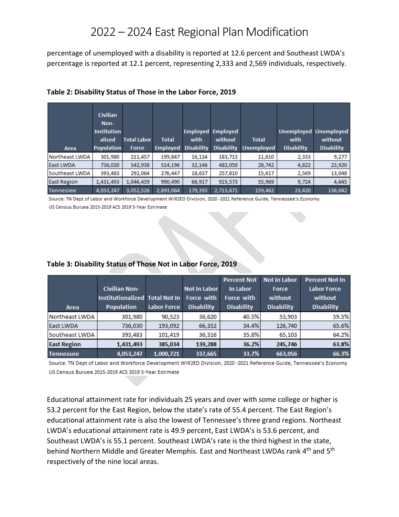percentage of unemployed with a disability is reported at 12.6 percent and Southeast LWDA's percentage is reported at 12.1 percent, representing 2,333 and 2,569 individuals, respectively.

| Area               | <b>Civilian</b><br>Non-<br><b>Institution</b><br>alized<br><b>Population</b> | <b>Total Labor</b><br>Force | <b>Total</b><br><b>Employed</b> Disability | with    | <b>Employed Employed</b><br>without<br><b>Disability</b> | <b>Total</b><br><b>Unemployed</b> | Unemployed Unemployed<br>with<br><b>Disability</b> | without<br><b>Disability</b> |
|--------------------|------------------------------------------------------------------------------|-----------------------------|--------------------------------------------|---------|----------------------------------------------------------|-----------------------------------|----------------------------------------------------|------------------------------|
| Northeast LWDA     | 301,980                                                                      | 211,457                     | 199,847                                    | 16,134  | 183,713                                                  | 11,610                            | 2,333                                              | 9,277                        |
| <b>East LWDA</b>   | 736,030                                                                      | 542,938                     | 514,196                                    | 32,146  | 482,050                                                  | 28,742                            | 4,822                                              | 23,920                       |
| Southeast LWDA     | 393,483                                                                      | 292,064                     | 276,447                                    | 18,637  | 257,810                                                  | 15,617                            | 2,569                                              | 13,048                       |
| <b>East Region</b> | 1,431,493                                                                    | 1,046,459                   | 990,490                                    | 66,917  | 923,573                                                  | 55,969                            | 9,724                                              | 4,645                        |
| Tennessee          | 4,053,247                                                                    | 3,052,526                   | 2,893,064                                  | 179,393 | 2,713,671                                                | 159,462                           | 23,420                                             | 136,042                      |

### **Table 2: Disability Status of Those in the Labor Force, 2019**

Source: TN Dept of Labor and Workforce Development WIR2ED Division, 2020 -2021 Reference Guide, Tennessee's Economy US Census Buruea 2015-2019 ACS 2019 5-Year Estimate

### **Table 3: Disability Status of Those Not in Labor Force, 2019**

|                    |                                |                    |                     | <b>Percent Not</b> | <b>Not In Labor</b> | <b>Percent Not In</b> |
|--------------------|--------------------------------|--------------------|---------------------|--------------------|---------------------|-----------------------|
|                    | <b>Civilian Non-</b>           |                    | <b>Not In Labor</b> | In Labor           | Force               | <b>Labor Force</b>    |
|                    | Institutionalized Total Not In |                    | Force with          | Force with         | without             | without               |
| Area               | <b>Population</b>              | <b>Labor Force</b> | <b>Disability</b>   | <b>Disability</b>  | <b>Disability</b>   | <b>Disability</b>     |
| Northeast LWDA     | 301.980                        | 90.523             | 36,620              | 40.5%              | 53,903              | 59.5%                 |
| <b>East LWDA</b>   | 736.030                        | 193,092            | 66,352              | 34.4%              | 126,740             | 65.6%                 |
| Southeast LWDA     | 393,483                        | 101,419            | 36,316              | 35.8%              | 65,103              | 64.2%                 |
| <b>East Region</b> | 1,431,493                      | 385,034            | 139,288             | 36.2%              | 245,746             | 63.8%                 |
| <b>Tennessee</b>   | 4,053,247                      | 1,000,721          | 337,665             | 33.7%              | 663,056             | 66.3%                 |

Source: TN Dept of Labor and Workforce Development WIR2ED Division, 2020 -2021 Reference Guide, Tennessee's Economy US Census Buruea 2015-2019 ACS 2019 5-Year Estimate

Educational attainment rate for individuals 25 years and over with some college or higher is 53.2 percent for the East Region, below the state's rate of 55.4 percent. The East Region's educational attainment rate is also the lowest of Tennessee's three grand regions. Northeast LWDA's educational attainment rate is 49.9 percent, East LWDA's is 53.6 percent, and Southeast LWDA's is 55.1 percent. Southeast LWDA's rate is the third highest in the state, behind Northern Middle and Greater Memphis. East and Northeast LWDAs rank 4<sup>th</sup> and 5<sup>th</sup> respectively of the nine local areas.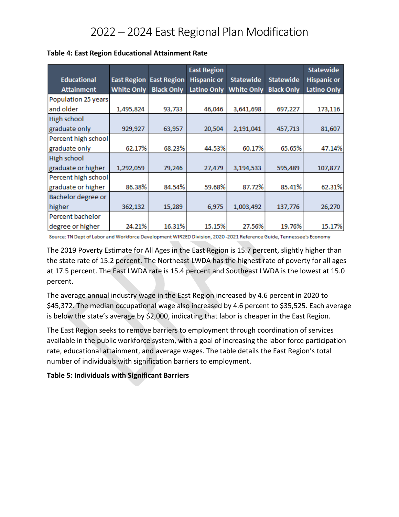|                     |                   |                                | <b>East Region</b> |                   |                   | <b>Statewide</b>   |
|---------------------|-------------------|--------------------------------|--------------------|-------------------|-------------------|--------------------|
| <b>Educational</b>  |                   | <b>East Region East Region</b> | <b>Hispanic or</b> | <b>Statewide</b>  | <b>Statewide</b>  | <b>Hispanic or</b> |
| <b>Attainment</b>   | <b>White Only</b> | <b>Black Only</b>              | <b>Latino Only</b> | <b>White Only</b> | <b>Black Only</b> | <b>Latino Only</b> |
| Population 25 years |                   |                                |                    |                   |                   |                    |
| and older           | 1,495,824         | 93,733                         | 46,046             | 3,641,698         | 697,227           | 173,116            |
| <b>High school</b>  |                   |                                |                    |                   |                   |                    |
| graduate only       | 929,927           | 63,957                         | 20,504             | 2,191,041         | 457,713           | 81,607             |
| Percent high school |                   |                                |                    |                   |                   |                    |
| graduate only       | 62.17%            | 68.23%                         | 44.53%             | 60.17%            | 65.65%            | 47.14%             |
| High school         |                   |                                |                    |                   |                   |                    |
| graduate or higher  | 1,292,059         | 79,246                         | 27,479             | 3,194,533         | 595,489           | 107,877            |
| Percent high school |                   |                                |                    |                   |                   |                    |
| graduate or higher  | 86.38%            | 84.54%                         | 59.68%             | 87.72%            | 85.41%            | 62.31%             |
| Bachelor degree or  |                   |                                |                    |                   |                   |                    |
| higher              | 362,132           | 15,289                         | 6,975              | 1,003,492         | 137,776           | 26,270             |
| Percent bachelor    |                   |                                |                    |                   |                   |                    |
| degree or higher    | 24.21%            | 16.31%                         | 15.15%             | 27.56%            | 19.76%            | 15.17%             |

### **Table 4: East Region Educational Attainment Rate**

Source: TN Dept of Labor and Workforce Development WIR2ED Division, 2020-2021 Reference Guide, Tennessee's Economy

The 2019 Poverty Estimate for All Ages in the East Region is 15.7 percent, slightly higher than the state rate of 15.2 percent. The Northeast LWDA has the highest rate of poverty for all ages at 17.5 percent. The East LWDA rate is 15.4 percent and Southeast LWDA is the lowest at 15.0 percent.

The average annual industry wage in the East Region increased by 4.6 percent in 2020 to \$45,372. The median occupational wage also increased by 4.6 percent to \$35,525. Each average is below the state's average by \$2,000, indicating that labor is cheaper in the East Region.

The East Region seeks to remove barriers to employment through coordination of services available in the public workforce system, with a goal of increasing the labor force participation rate, educational attainment, and average wages. The table details the East Region's total number of individuals with signification barriers to employment.

### **Table 5: Individuals with Significant Barriers**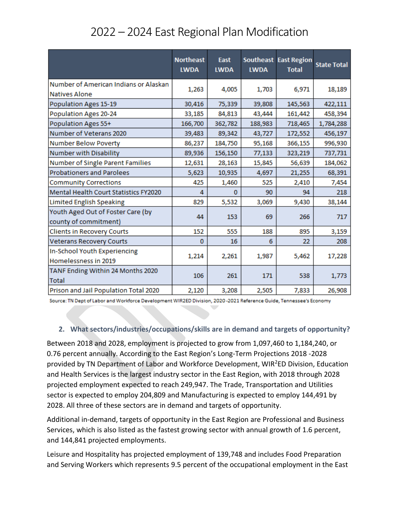|                                                            | <b>Northeast</b><br><b>LWDA</b> | East<br><b>LWDA</b> | <b>LWDA</b> | <b>Southeast East Region</b><br><b>Total</b> | <b>State Total</b> |
|------------------------------------------------------------|---------------------------------|---------------------|-------------|----------------------------------------------|--------------------|
| Number of American Indians or Alaskan                      | 1,263                           | 4,005               | 1,703       | 6,971                                        | 18,189             |
| <b>Natives Alone</b>                                       |                                 |                     |             |                                              |                    |
| Population Ages 15-19                                      | 30,416                          | 75,339              | 39,808      | 145,563                                      | 422,111            |
| Population Ages 20-24                                      | 33,185                          | 84,813              | 43,444      | 161,442                                      | 458,394            |
| Population Ages 55+                                        | 166,700                         | 362,782             | 188,983     | 718,465                                      | 1,784,288          |
| Number of Veterans 2020                                    | 39,483                          | 89,342              | 43,727      | 172,552                                      | 456,197            |
| <b>Number Below Poverty</b>                                | 86,237                          | 184,750             | 95,168      | 366,155                                      | 996,930            |
| Number with Disability                                     | 89,936                          | 156,150             | 77,133      | 323,219                                      | 737,731            |
| Number of Single Parent Families                           | 12,631                          | 28,163              | 15,845      | 56,639                                       | 184,062            |
| <b>Probationers and Parolees</b>                           | 5,623                           | 10,935              | 4,697       | 21,255                                       | 68,391             |
| <b>Community Corrections</b>                               | 425                             | 1,460               | 525         | 2,410                                        | 7,454              |
| Mental Health Court Statistics FY2020                      | 4                               | $\Omega$            | 90          | 94                                           | 218                |
| <b>Limited English Speaking</b>                            | 829                             | 5,532               | 3,069       | 9,430                                        | 38,144             |
| Youth Aged Out of Foster Care (by<br>county of commitment) | 44                              | 153                 | 69          | 266                                          | 717                |
| <b>Clients in Recovery Courts</b>                          | 152                             | 555                 | 188         | 895                                          | 3,159              |
| <b>Veterans Recovery Courts</b>                            | $\bf{0}$                        | 16                  | 6           | 22                                           | 208                |
| In-School Youth Experiencing                               |                                 |                     |             |                                              |                    |
| Homelessness in 2019                                       | 1,214                           | 2,261               | 1,987       | 5,462                                        | 17,228             |
| TANF Ending Within 24 Months 2020<br><b>Total</b>          | 106                             | 261                 | 171         | 538                                          | 1,773              |
| Prison and Jail Population Total 2020                      | 2,120                           | 3,208               | 2,505       | 7,833                                        | 26,908             |

Source: TN Dept of Labor and Workforce Development WIR2ED Division, 2020-2021 Reference Guide, Tennessee's Economy

### **2. What sectors/industries/occupations/skills are in demand and targets of opportunity?**

Between 2018 and 2028, employment is projected to grow from 1,097,460 to 1,184,240, or 0.76 percent annually. According to the East Region's Long-Term Projections 2018 -2028 provided by TN Department of Labor and Workforce Development, WIR<sup>2</sup>ED Division, Education and Health Services is the largest industry sector in the East Region, with 2018 through 2028 projected employment expected to reach 249,947. The Trade, Transportation and Utilities sector is expected to employ 204,809 and Manufacturing is expected to employ 144,491 by 2028. All three of these sectors are in demand and targets of opportunity.

Additional in-demand, targets of opportunity in the East Region are Professional and Business Services, which is also listed as the fastest growing sector with annual growth of 1.6 percent, and 144,841 projected employments.

Leisure and Hospitality has projected employment of 139,748 and includes Food Preparation and Serving Workers which represents 9.5 percent of the occupational employment in the East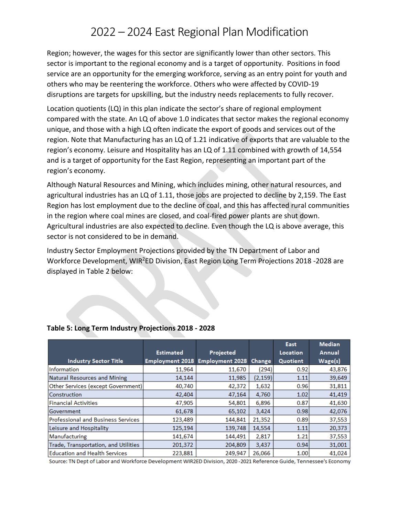Region; however, the wages for this sector are significantly lower than other sectors. This sector is important to the regional economy and is a target of opportunity. Positions in food service are an opportunity for the emerging workforce, serving as an entry point for youth and others who may be reentering the workforce. Others who were affected by COVID-19 disruptions are targets for upskilling, but the industry needs replacements to fully recover.

Location quotients (LQ) in this plan indicate the sector's share of regional employment compared with the state. An LQ of above 1.0 indicates that sector makes the regional economy unique, and those with a high LQ often indicate the export of goods and services out of the region. Note that Manufacturing has an LQ of 1.21 indicative of exports that are valuable to the region's economy. Leisure and Hospitality has an LQ of 1.11 combined with growth of 14,554 and is a target of opportunity for the East Region, representing an important part of the region's economy.

Although Natural Resources and Mining, which includes mining, other natural resources, and agricultural industries has an LQ of 1.11, those jobs are projected to decline by 2,159. The East Region has lost employment due to the decline of coal, and this has affected rural communities in the region where coal mines are closed, and coal-fired power plants are shut down. Agricultural industries are also expected to decline. Even though the LQ is above average, this sector is not considered to be in demand.

Industry Sector Employment Projections provided by the TN Department of Labor and Workforce Development, WIR<sup>2</sup>ED Division, East Region Long Term Projections 2018 -2028 are displayed in Table 2 below:

|                                           |                        |                        |          | <b>East</b> | <b>Median</b> |
|-------------------------------------------|------------------------|------------------------|----------|-------------|---------------|
|                                           | <b>Estimated</b>       | Projected              |          | Location    | Annual        |
| <b>Industry Sector Title</b>              | <b>Employment 2018</b> | <b>Employment 2028</b> | Change   | Quotient    | Wage(s)       |
| <b>Information</b>                        | 11,964                 | 11,670                 | (294)    | 0.92        | 43,876        |
| <b>Natural Resources and Mining</b>       | 14,144                 | 11.985                 | (2, 159) | 1.11        | 39,649        |
| Other Services (except Government)        | 40,740                 | 42,372                 | 1,632    | 0.96        | 31,811        |
| Construction                              | 42,404                 | 47,164                 | 4,760    | 1.02        | 41,419        |
| <b>Financial Activities</b>               | 47,905                 | 54,801                 | 6,896    | 0.87        | 41,630        |
| Government                                | 61,678                 | 65,102                 | 3.424    | 0.98        | 42,076        |
| <b>Professional and Business Services</b> | 123,489                | 144,841                | 21,352   | 0.89        | 37,553        |
| Leisure and Hospitality                   | 125,194                | 139,748                | 14,554   | 1.11        | 20,373        |
| Manufacturing                             | 141,674                | 144,491                | 2,817    | 1.21        | 37,553        |
| Trade, Transportation, and Utilities      | 201,372                | 204,809                | 3.437    | 0.94        | 31,001        |
| <b>Education and Health Services</b>      | 223,881                | 249.947                | 26,066   | 1.00        | 41,024        |

### **Table 5: Long Term Industry Projections 2018 - 2028**

Source: TN Dept of Labor and Workforce Development WIR2ED Division, 2020 -2021 Reference Guide, Tennessee's Economy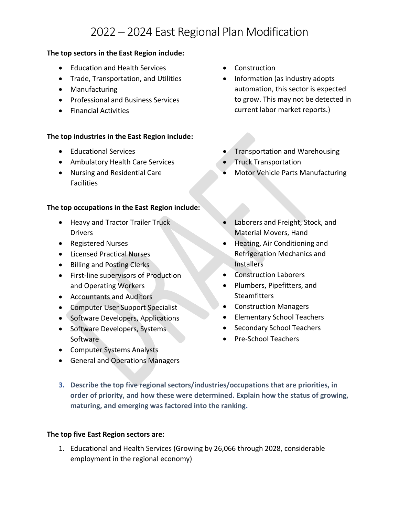### **The top sectors in the East Region include:**

- Education and Health Services
- Trade, Transportation, and Utilities
- Manufacturing
- Professional and Business Services
- Financial Activities

### **The top industries in the East Region include:**

- Educational Services
- Ambulatory Health Care Services
- Nursing and Residential Care **Facilities**

### **The top occupations in the East Region include:**

- Heavy and Tractor Trailer Truck **Drivers**
- Registered Nurses
- Licensed Practical Nurses
- Billing and Posting Clerks
- First-line supervisors of Production and Operating Workers
- Accountants and Auditors
- Computer User Support Specialist
- Software Developers, Applications
- Software Developers, Systems Software
- Computer Systems Analysts
- General and Operations Managers
- Construction
- Information (as industry adopts automation, this sector is expected to grow. This may not be detected in current labor market reports.)
- Transportation and Warehousing
- **Truck Transportation**
- Motor Vehicle Parts Manufacturing
- Laborers and Freight, Stock, and Material Movers, Hand
- Heating, Air Conditioning and Refrigeration Mechanics and Installers
- Construction Laborers
- Plumbers, Pipefitters, and **Steamfitters**
- Construction Managers
- Elementary School Teachers
- Secondary School Teachers
- Pre-School Teachers
- **3. Describe the top five regional sectors/industries/occupations that are priorities, in order of priority, and how these were determined. Explain how the status of growing, maturing, and emerging was factored into the ranking.**

### **The top five East Region sectors are:**

1. Educational and Health Services (Growing by 26,066 through 2028, considerable employment in the regional economy)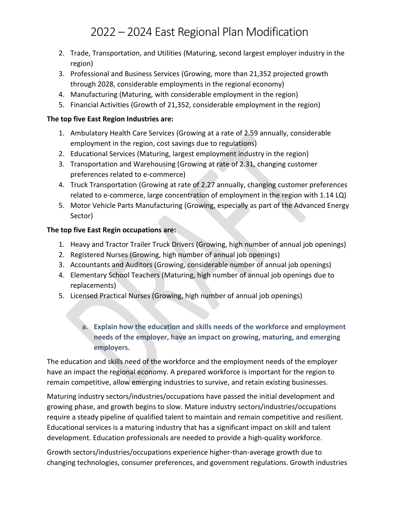- 2. Trade, Transportation, and Utilities (Maturing, second largest employer industry in the region)
- 3. Professional and Business Services (Growing, more than 21,352 projected growth through 2028, considerable employments in the regional economy)
- 4. Manufacturing (Maturing, with considerable employment in the region)
- 5. Financial Activities (Growth of 21,352, considerable employment in the region)

### **The top five East Region Industries are:**

- 1. Ambulatory Health Care Services (Growing at a rate of 2.59 annually, considerable employment in the region, cost savings due to regulations)
- 2. Educational Services (Maturing, largest employment industry in the region)
- 3. Transportation and Warehousing (Growing at rate of 2.31, changing customer preferences related to e-commerce)
- 4. Truck Transportation (Growing at rate of 2.27 annually, changing customer preferences related to e-commerce, large concentration of employment in the region with 1.14 LQ)
- 5. Motor Vehicle Parts Manufacturing (Growing, especially as part of the Advanced Energy Sector)

### **The top five East Regin occupations are:**

- 1. Heavy and Tractor Trailer Truck Drivers (Growing, high number of annual job openings)
- 2. Registered Nurses (Growing, high number of annual job openings)
- 3. Accountants and Auditors (Growing, considerable number of annual job openings)
- 4. Elementary School Teachers (Maturing, high number of annual job openings due to replacements)
- 5. Licensed Practical Nurses (Growing, high number of annual job openings)

## **a. Explain how the education and skills needs of the workforce and employment needs of the employer, have an impact on growing, maturing, and emerging employers.**

The education and skills need of the workforce and the employment needs of the employer have an impact the regional economy. A prepared workforce is important for the region to remain competitive, allow emerging industries to survive, and retain existing businesses.

Maturing industry sectors/industries/occupations have passed the initial development and growing phase, and growth begins to slow. Mature industry sectors/industries/occupations require a steady pipeline of qualified talent to maintain and remain competitive and resilient. Educational services is a maturing industry that has a significant impact on skill and talent development. Education professionals are needed to provide a high-quality workforce.

Growth sectors/industries/occupations experience higher-than-average growth due to changing technologies, consumer preferences, and government regulations. Growth industries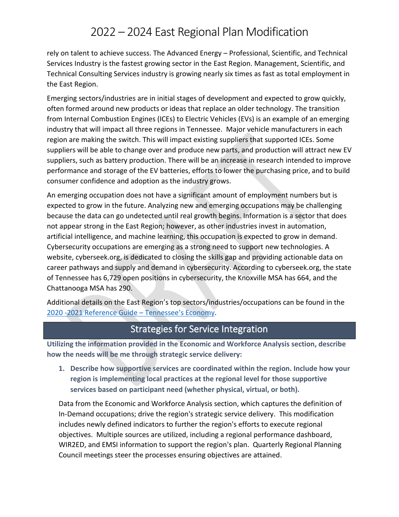rely on talent to achieve success. The Advanced Energy – Professional, Scientific, and Technical Services Industry is the fastest growing sector in the East Region. Management, Scientific, and Technical Consulting Services industry is growing nearly six times as fast as total employment in the East Region.

Emerging sectors/industries are in initial stages of development and expected to grow quickly, often formed around new products or ideas that replace an older technology. The transition from Internal Combustion Engines (ICEs) to Electric Vehicles (EVs) is an example of an emerging industry that will impact all three regions in Tennessee. Major vehicle manufacturers in each region are making the switch. This will impact existing suppliers that supported ICEs. Some suppliers will be able to change over and produce new parts, and production will attract new EV suppliers, such as battery production. There will be an increase in research intended to improve performance and storage of the EV batteries, efforts to lower the purchasing price, and to build consumer confidence and adoption as the industry grows.

An emerging occupation does not have a significant amount of employment numbers but is expected to grow in the future. Analyzing new and emerging occupations may be challenging because the data can go undetected until real growth begins. Information is a sector that does not appear strong in the East Region; however, as other industries invest in automation, artificial intelligence, and machine learning, this occupation is expected to grow in demand. Cybersecurity occupations are emerging as a strong need to support new technologies. A website, cyberseek.org, is dedicated to closing the skills gap and providing actionable data on career pathways and supply and demand in cybersecurity. According to cyberseek.org, the state of Tennessee has 6,729 open positions in cybersecurity, the Knoxville MSA has 664, and the Chattanooga MSA has 290.

Additional details on the East Region's top sectors/industries/occupations can be found in the [2020 -2021 Reference Guide](https://www.tn.gov/content/dam/tn/workforce/documents/majorpublications/reports-02/Tennessee_Economy_Growth_FALL_DOCUMENT_2020-2021.pdf) – Tennessee's Economy.

## Strategies for Service Integration

**Utilizing the information provided in the Economic and Workforce Analysis section, describe how the needs will be me through strategic service delivery:**

**1. Describe how supportive services are coordinated within the region. Include how your region is implementing local practices at the regional level for those supportive services based on participant need (whether physical, virtual, or both).**

Data from the Economic and Workforce Analysis section, which captures the definition of In-Demand occupations; drive the region's strategic service delivery. This modification includes newly defined indicators to further the region's efforts to execute regional objectives. Multiple sources are utilized, including a regional performance dashboard, WIR2ED, and EMSI information to support the region's plan. Quarterly Regional Planning Council meetings steer the processes ensuring objectives are attained.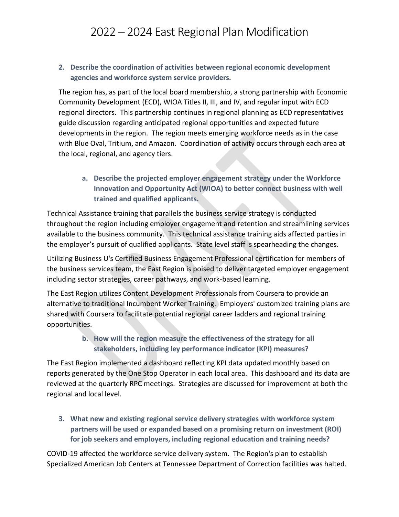## **2. Describe the coordination of activities between regional economic development agencies and workforce system service providers.**

The region has, as part of the local board membership, a strong partnership with Economic Community Development (ECD), WIOA Titles II, III, and IV, and regular input with ECD regional directors. This partnership continues in regional planning as ECD representatives guide discussion regarding anticipated regional opportunities and expected future developments in the region. The region meets emerging workforce needs as in the case with Blue Oval, Tritium, and Amazon. Coordination of activity occurs through each area at the local, regional, and agency tiers.

**a. Describe the projected employer engagement strategy under the Workforce Innovation and Opportunity Act (WIOA) to better connect business with well trained and qualified applicants.**

Technical Assistance training that parallels the business service strategy is conducted throughout the region including employer engagement and retention and streamlining services available to the business community. This technical assistance training aids affected parties in the employer's pursuit of qualified applicants. State level staff is spearheading the changes.

Utilizing Business U's Certified Business Engagement Professional certification for members of the business services team, the East Region is poised to deliver targeted employer engagement including sector strategies, career pathways, and work-based learning.

The East Region utilizes Content Development Professionals from Coursera to provide an alternative to traditional Incumbent Worker Training. Employers' customized training plans are shared with Coursera to facilitate potential regional career ladders and regional training opportunities.

## **b. How will the region measure the effectiveness of the strategy for all stakeholders, including ley performance indicator (KPI) measures?**

The East Region implemented a dashboard reflecting KPI data updated monthly based on reports generated by the One Stop Operator in each local area. This dashboard and its data are reviewed at the quarterly RPC meetings. Strategies are discussed for improvement at both the regional and local level.

**3. What new and existing regional service delivery strategies with workforce system partners will be used or expanded based on a promising return on investment (ROI) for job seekers and employers, including regional education and training needs?**

COVID-19 affected the workforce service delivery system. The Region's plan to establish Specialized American Job Centers at Tennessee Department of Correction facilities was halted.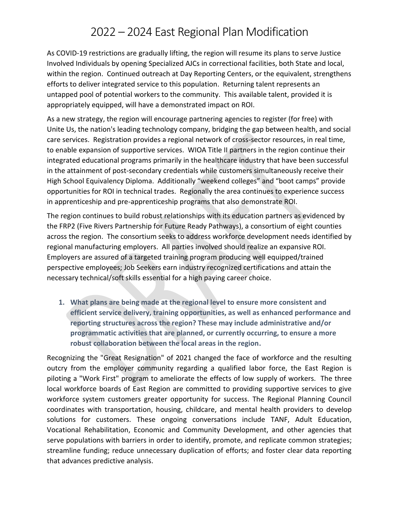As COVID-19 restrictions are gradually lifting, the region will resume its plans to serve Justice Involved Individuals by opening Specialized AJCs in correctional facilities, both State and local, within the region. Continued outreach at Day Reporting Centers, or the equivalent, strengthens efforts to deliver integrated service to this population. Returning talent represents an untapped pool of potential workers to the community. This available talent, provided it is appropriately equipped, will have a demonstrated impact on ROI.

As a new strategy, the region will encourage partnering agencies to register (for free) with Unite Us, the nation's leading technology company, bridging the gap between health, and social care services. Registration provides a regional network of cross-sector resources, in real time, to enable expansion of supportive services. WIOA Title II partners in the region continue their integrated educational programs primarily in the healthcare industry that have been successful in the attainment of post-secondary credentials while customers simultaneously receive their High School Equivalency Diploma. Additionally "weekend colleges" and "boot camps" provide opportunities for ROI in technical trades. Regionally the area continues to experience success in apprenticeship and pre-apprenticeship programs that also demonstrate ROI.

The region continues to build robust relationships with its education partners as evidenced by the FRP2 (Five Rivers Partnership for Future Ready Pathways), a consortium of eight counties across the region. The consortium seeks to address workforce development needs identified by regional manufacturing employers. All parties involved should realize an expansive ROI. Employers are assured of a targeted training program producing well equipped/trained perspective employees; Job Seekers earn industry recognized certifications and attain the necessary technical/soft skills essential for a high paying career choice.

**1. What plans are being made at the regional level to ensure more consistent and efficient service delivery, training opportunities, as well as enhanced performance and reporting structures across the region? These may include administrative and/or programmatic activities that are planned, or currently occurring, to ensure a more robust collaboration between the local areas in the region.**

Recognizing the "Great Resignation" of 2021 changed the face of workforce and the resulting outcry from the employer community regarding a qualified labor force, the East Region is piloting a "Work First" program to ameliorate the effects of low supply of workers. The three local workforce boards of East Region are committed to providing supportive services to give workforce system customers greater opportunity for success. The Regional Planning Council coordinates with transportation, housing, childcare, and mental health providers to develop solutions for customers. These ongoing conversations include TANF, Adult Education, Vocational Rehabilitation, Economic and Community Development, and other agencies that serve populations with barriers in order to identify, promote, and replicate common strategies; streamline funding; reduce unnecessary duplication of efforts; and foster clear data reporting that advances predictive analysis.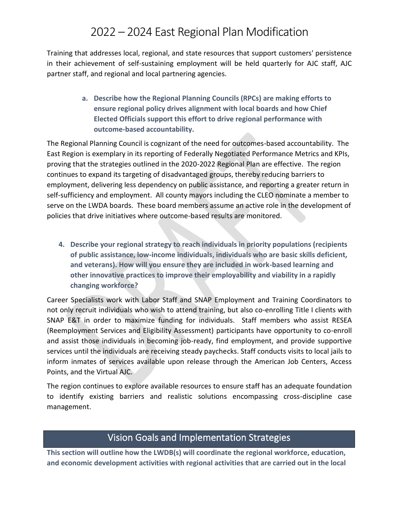Training that addresses local, regional, and state resources that support customers' persistence in their achievement of self-sustaining employment will be held quarterly for AJC staff, AJC partner staff, and regional and local partnering agencies.

> **a. Describe how the Regional Planning Councils (RPCs) are making efforts to ensure regional policy drives alignment with local boards and how Chief Elected Officials support this effort to drive regional performance with outcome-based accountability.**

The Regional Planning Council is cognizant of the need for outcomes-based accountability. The East Region is exemplary in its reporting of Federally Negotiated Performance Metrics and KPIs, proving that the strategies outlined in the 2020-2022 Regional Plan are effective. The region continues to expand its targeting of disadvantaged groups, thereby reducing barriers to employment, delivering less dependency on public assistance, and reporting a greater return in self-sufficiency and employment. All county mayors including the CLEO nominate a member to serve on the LWDA boards. These board members assume an active role in the development of policies that drive initiatives where outcome-based results are monitored.

**4. Describe your regional strategy to reach individuals in priority populations (recipients of public assistance, low-income individuals, individuals who are basic skills deficient, and veterans). How will you ensure they are included in work-based learning and other innovative practices to improve their employability and viability in a rapidly changing workforce?**

Career Specialists work with Labor Staff and SNAP Employment and Training Coordinators to not only recruit individuals who wish to attend training, but also co-enrolling Title I clients with SNAP E&T in order to maximize funding for individuals. Staff members who assist RESEA (Reemployment Services and Eligibility Assessment) participants have opportunity to co-enroll and assist those individuals in becoming job-ready, find employment, and provide supportive services until the individuals are receiving steady paychecks. Staff conducts visits to local jails to inform inmates of services available upon release through the American Job Centers, Access Points, and the Virtual AJC.

The region continues to explore available resources to ensure staff has an adequate foundation to identify existing barriers and realistic solutions encompassing cross-discipline case management.

## Vision Goals and Implementation Strategies

**This section will outline how the LWDB(s) will coordinate the regional workforce, education, and economic development activities with regional activities that are carried out in the local**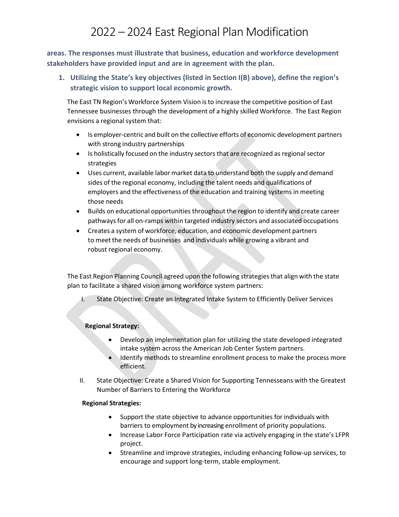**areas. The responses must illustrate that business, education and workforce development stakeholders have provided input and are in agreement with the plan.**

**1. Utilizing the State's key objectives (listed in Section I(B) above), define the region's strategic vision to support local economic growth.**

The East TN Region's Workforce System Vision isto increase the competitive position of East Tennessee businesses through the development of a highly skilled Workforce. The East Region envisions a regional system that:

- Is employer-centric and built on the collective efforts of economic development partners with strong industry partnerships
- Is holistically focused on the industry sectors that are recognized as regional sector strategies
- Uses current, available labor market data to understand both the supply and demand sides of the regional economy, including the talent needs and qualifications of employers and the effectiveness of the education and training systems in meeting those needs
- Builds on educational opportunities throughout the region to identify and create career pathwaysfor all on-ramps within targeted industry sectors and associated occupations
- Creates a system of workforce, education, and economic development partners to meet the needs of businesses and individuals while growing a vibrant and robust regional economy.

The East Region Planning Council agreed upon the following strategiesthat align with the state plan to facilitate a shared vision among workforce system partners:

I. State Objective: Create an Integrated Intake System to Efficiently Deliver Services

### **Regional Strategy:**

- Develop an implementation plan for utilizing the state developed integrated intake system across the American Job Center System partners.
- Identify methods to streamline enrollment process to make the process more efficient.
- II. State Objective: Create a Shared Vision for Supporting Tennesseans with the Greatest Number of Barriers to Entering the Workforce

#### **Regional Strategies:**

- Support the state objective to advance opportunities for individuals with barriers to employment by increasing enrollment of priority populations.
- Increase Labor Force Participation rate via actively engaging in the state's LFPR project.
- Streamline and improve strategies, including enhancing follow-up services, to encourage and support long-term, stable employment.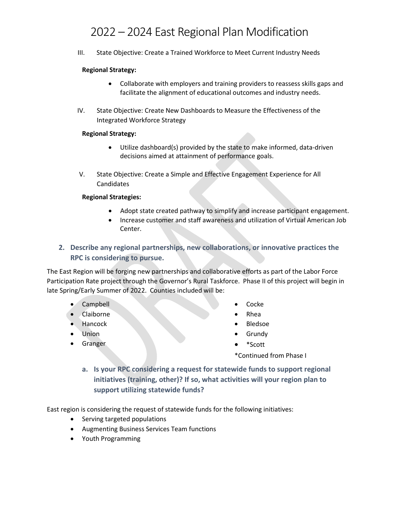III. State Objective: Create a Trained Workforce to Meet Current Industry Needs

#### **Regional Strategy:**

- Collaborate with employers and training providers to reassess skills gaps and facilitate the alignment of educational outcomes and industry needs.
- IV. State Objective: Create New Dashboards to Measure the Effectiveness of the Integrated Workforce Strategy

#### **Regional Strategy:**

- Utilize dashboard(s) provided by the state to make informed, data-driven decisions aimed at attainment of performance goals.
- V. State Objective: Create a Simple and Effective Engagement Experience for All **Candidates**

#### **Regional Strategies:**

- Adopt state created pathway to simplify and increase participant engagement.
- Increase customer and staff awareness and utilization of Virtual American Job Center.
- **2. Describe any regional partnerships, new collaborations, or innovative practices the RPC is considering to pursue.**

The East Region will be forging new partnerships and collaborative efforts as part of the Labor Force Participation Rate project through the Governor's Rural Taskforce. Phase II of this project will begin in late Spring/Early Summer of 2022. Counties included will be:

- Campbell
- Claiborne
- Hancock
- Union
- Granger
- Cocke
- Rhea
- Bledsoe
- Grundy
- \*Scott

\*Continued from Phase I

**a. Is your RPC considering a request for statewide funds to support regional initiatives (training, other)? If so, what activities will your region plan to support utilizing statewide funds?**

East region is considering the request of statewide funds for the following initiatives:

- Serving targeted populations
- Augmenting Business Services Team functions
- Youth Programming